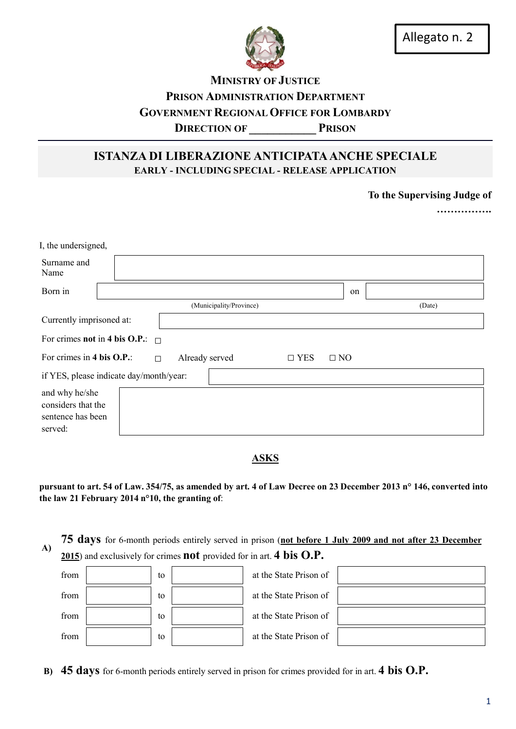

## MINISTRY OF JUSTICE PRISON ADMINISTRATION DEPARTMENT GOVERNMENT REGIONAL OFFICE FOR LOMBARDY DIRECTION OF PRISON

## ISTANZA DI LIBERAZIONE ANTICIPATA ANCHE SPECIALE EARLY - INCLUDING SPECIAL - RELEASE APPLICATION

To the Supervising Judge of

……………

| I, the undersigned,                                                              |  |  |  |                         |  |  |    |        |  |
|----------------------------------------------------------------------------------|--|--|--|-------------------------|--|--|----|--------|--|
| Surname and<br>Name                                                              |  |  |  |                         |  |  |    |        |  |
| Born in                                                                          |  |  |  |                         |  |  | on |        |  |
|                                                                                  |  |  |  | (Municipality/Province) |  |  |    | (Date) |  |
| Currently imprisoned at:                                                         |  |  |  |                         |  |  |    |        |  |
| For crimes <b>not</b> in 4 bis O.P.: $\Box$                                      |  |  |  |                         |  |  |    |        |  |
| For crimes in 4 bis O.P.:<br>Already served<br>$\Box$ YES<br>$\Box$ NO<br>$\Box$ |  |  |  |                         |  |  |    |        |  |
| if YES, please indicate day/month/year:                                          |  |  |  |                         |  |  |    |        |  |
| and why he/she<br>considers that the<br>sentence has been<br>served:             |  |  |  |                         |  |  |    |        |  |

## ASKS

pursuant to art. 54 of Law. 354/75, as amended by art. 4 of Law Decree on 23 December 2013 n° 146, converted into the law 21 February 2014 n°10, the granting of:

75 days for 6-month periods entirely served in prison (not before 1 July 2009 and not after 23 December A) 2015) and exclusively for crimes **not** provided for in art. **4 bis O.P.** 

| from | to | at the State Prison of |  |
|------|----|------------------------|--|
| from | to | at the State Prison of |  |
| from | to | at the State Prison of |  |
| from | to | at the State Prison of |  |

B) 45 days for 6-month periods entirely served in prison for crimes provided for in art. 4 bis O.P.